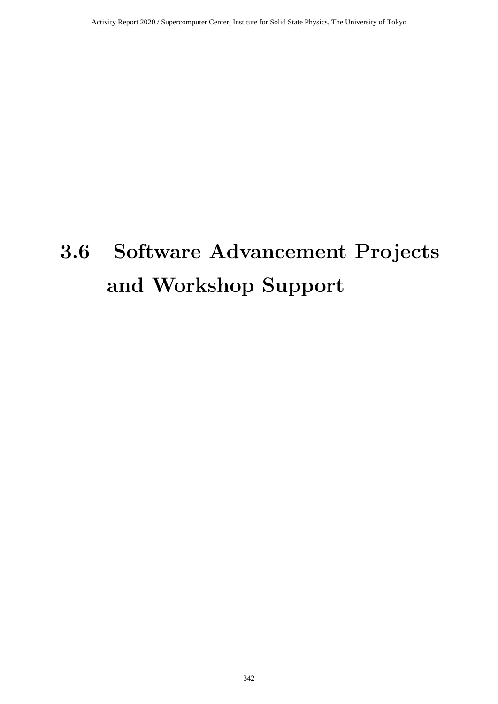# **3.6 Software Advancement Projects and Workshop Support**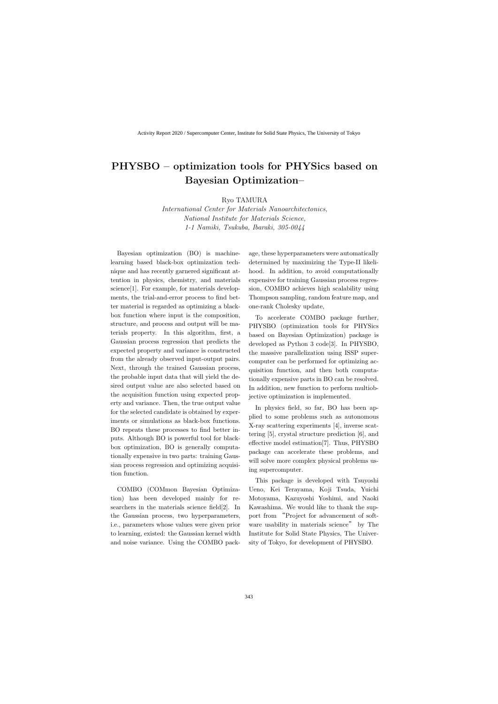# **PHYSBO – optimization tools for PHYSics based on Bayesian Optimization–**

Ryo TAMURA

*International Center for Materials Nanoarchitectonics, National Institute for Materials Science, 1-1 Namiki, Tsukuba, Ibaraki, 305-0044*

Bayesian optimization (BO) is machinelearning based black-box optimization technique and has recently garnered significant attention in physics, chemistry, and materials science[1]. For example, for materials developments, the trial-and-error process to find better material is regarded as optimizing a blackbox function where input is the composition, structure, and process and output will be materials property. In this algorithm, first, a Gaussian process regression that predicts the expected property and variance is constructed from the already observed input-output pairs. Next, through the trained Gaussian process, the probable input data that will yield the desired output value are also selected based on the acquisition function using expected property and variance. Then, the true output value for the selected candidate is obtained by experiments or simulations as black-box functions. BO repeats these processes to find better inputs. Although BO is powerful tool for blackbox optimization, BO is generally computationally expensive in two parts: training Gaussian process regression and optimizing acquisition function.

COMBO (COMmon Bayesian Optimization) has been developed mainly for researchers in the materials science field[2]. In the Gaussian process, two hyperparameters, i.e., parameters whose values were given prior to learning, existed: the Gaussian kernel width and noise variance. Using the COMBO package, these hyperparameters were automatically determined by maximizing the Type-II likelihood. In addition, to avoid computationally expensive for training Gaussian process regression, COMBO achieves high scalability using Thompson sampling, random feature map, and one-rank Cholesky update,

To accelerate COMBO package further, PHYSBO (optimization tools for PHYSics based on Bayesian Optimization) package is developed as Python 3 code[3]. In PHYSBO, the massive parallelization using ISSP supercomputer can be performed for optimizing acquisition function, and then both computationally expensive parts in BO can be resolved. In addition, new function to perform multiobjective optimization is implemented.

In physics field, so far, BO has been applied to some problems such as autonomous X-ray scattering experiments [4], inverse scattering [5], crystal structure prediction [6], and effective model estimation[7]. Thus, PHYSBO package can accelerate these problems, and will solve more complex physical problems using supercomputer.

This package is developed with Tsuyoshi Ueno, Kei Terayama, Koji Tsuda, Yuichi Motoyama, Kazuyoshi Yoshimi, and Naoki Kawashima. We would like to thank the support from "Project for advancement of software usability in materials science" by The Institute for Solid State Physics, The University of Tokyo, for development of PHYSBO.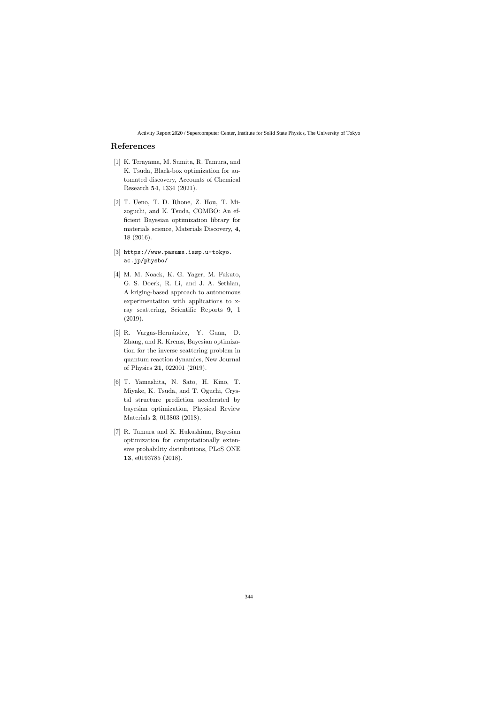## **References**

- [1] K. Terayama, M. Sumita, R. Tamura, and K. Tsuda, Black-box optimization for automated discovery, Accounts of Chemical Research **54**, 1334 (2021).
- [2] T. Ueno, T. D. Rhone, Z. Hou, T. Mizoguchi, and K. Tsuda, COMBO: An efficient Bayesian optimization library for materials science, Materials Discovery, **4**, 18 (2016).
- [3] https://www.pasums.issp.u-tokyo. ac.jp/physbo/
- [4] M. M. Noack, K. G. Yager, M. Fukuto, G. S. Doerk, R. Li, and J. A. Sethian, A kriging-based approach to autonomous experimentation with applications to xray scattering, Scientific Reports **9**, 1 (2019).
- [5] R. Vargas-Hernández, Y. Guan, D. Zhang, and R. Krems, Bayesian optimization for the inverse scattering problem in quantum reaction dynamics, New Journal of Physics **21**, 022001 (2019).
- [6] T. Yamashita, N. Sato, H. Kino, T. Miyake, K. Tsuda, and T. Oguchi, Crystal structure prediction accelerated by bayesian optimization, Physical Review Materials **2**, 013803 (2018).
- [7] R. Tamura and K. Hukushima, Bayesian optimization for computationally extensive probability distributions, PLoS ONE **13**, e0193785 (2018).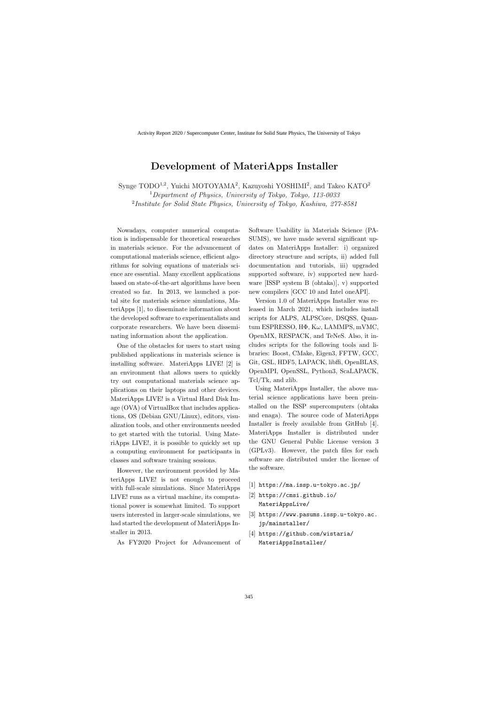## **Development of MateriApps Installer**

Synge TODO<sup>1,2</sup>, Yuichi MOTOYAMA<sup>2</sup>, Kazuyoshi YOSHIMI<sup>2</sup>, and Takeo KATO<sup>2</sup> <sup>1</sup>*Department of Physics, University of Tokyo, Tokyo, 113-0033*

2 *Institute for Solid State Physics, University of Tokyo, Kashiwa, 277-8581*

Nowadays, computer numerical computation is indispensable for theoretical researches in materials science. For the advancement of computational materials science, efficient algorithms for solving equations of materials science are essential. Many excellent applications based on state-of-the-art algorithms have been created so far. In 2013, we launched a portal site for materials science simulations, MateriApps [1], to disseminate information about the developed software to experimentalists and corporate researchers. We have been disseminating information about the application.

One of the obstacles for users to start using published applications in materials science is installing software. MateriApps LIVE! [2] is an environment that allows users to quickly try out computational materials science applications on their laptops and other devices. MateriApps LIVE! is a Virtual Hard Disk Image (OVA) of VirtualBox that includes applications, OS (Debian GNU/Linux), editors, visualization tools, and other environments needed to get started with the tutorial. Using MateriApps LIVE!, it is possible to quickly set up a computing environment for participants in classes and software training sessions.

However, the environment provided by MateriApps LIVE! is not enough to proceed with full-scale simulations. Since MateriApps LIVE! runs as a virtual machine, its computational power is somewhat limited. To support users interested in larger-scale simulations, we had started the development of MateriApps Installer in 2013.

As FY2020 Project for Advancement of

Software Usability in Materials Science (PA-SUMS), we have made several significant updates on MateriApps Installer: i) organized directory structure and scripts, ii) added full documentation and tutorials, iii) upgraded supported software, iv) supported new hardware [ISSP system B (ohtaka)], v) supported new compilers [GCC 10 and Intel oneAPI].

Version 1.0 of MateriApps Installer was released in March 2021, which includes install scripts for ALPS, ALPSCore, DSQSS, Quantum ESPRESSO, HΦ, K*ω*, LAMMPS, mVMC, OpenMX, RESPACK, and TeNeS. Also, it includes scripts for the following tools and libraries: Boost, CMake, Eigen3, FFTW, GCC, Git, GSL, HDF5, LAPACK, libffi, OpenBLAS, OpenMPI, OpenSSL, Python3, ScaLAPACK, Tcl/Tk, and zlib.

Using MateriApps Installer, the above material science applications have been preinstalled on the ISSP supercomputers (ohtaka and enaga). The source code of MateriApps Installer is freely available from GitHub [4]. MateriApps Installer is distributed under the GNU General Public License version 3 (GPLv3). However, the patch files for each software are distributed under the license of the software.

- [1] https://ma.issp.u-tokyo.ac.jp/
- [2] https://cmsi.github.io/ MateriAppsLive/
- [3] https://www.pasums.issp.u-tokyo.ac. jp/mainstaller/
- [4] https://github.com/wistaria/ MateriAppsInstaller/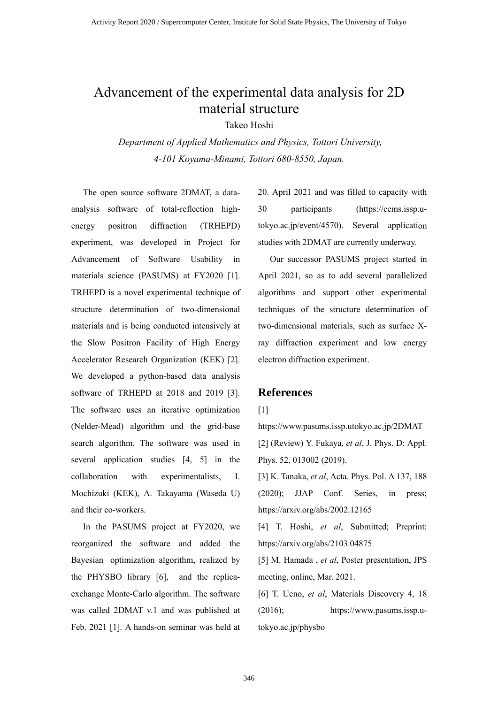## Advancement of the experimental data analysis for 2D material structure

Takeo Hoshi

*Department of Applied Mathematics and Physics, Tottori University, 4-101 Koyama-Minami, Tottori 680-8550, Japan.*

The open source software 2DMAT, a dataanalysis software of total-reflection highenergy positron diffraction (TRHEPD) experiment, was developed in Project for Advancement of Software Usability in materials science (PASUMS) at FY2020 [1]. TRHEPD is a novel experimental technique of structure determination of two-dimensional materials and is being conducted intensively at the Slow Positron Facility of High Energy Accelerator Research Organization (KEK) [2]. We developed a python-based data analysis software of TRHEPD at 2018 and 2019 [3]. The software uses an iterative optimization (Nelder-Mead) algorithm and the grid-base search algorithm. The software was used in several application studies [4, 5] in the collaboration with experimentalists, I. Mochizuki (KEK), A. Takayama (Waseda U) and their co-workers.

In the PASUMS project at FY2020, we reorganized the software and added the Bayesian optimization algorithm, realized by the PHYSBO library [6], and the replicaexchange Monte-Carlo algorithm. The software was called 2DMAT v.1 and was published at Feb. 2021 [1]. A hands-on seminar was held at 20. April 2021 and was filled to capacity with 30 participants (https://ccms.issp.utokyo.ac.jp/event/4570). Several application studies with 2DMAT are currently underway.

Our successor PASUMS project started in April 2021, so as to add several parallelized algorithms and support other experimental techniques of the structure determination of two-dimensional materials, such as surface Xray diffraction experiment and low energy electron diffraction experiment.

#### **References**

[1]

https://www.pasums.issp.utokyo.ac.jp/2DMAT [2] (Review) Y. Fukaya, *et al*, J. Phys. D: Appl. Phys. 52, 013002 (2019). [3] K. Tanaka, *et al*, Acta. Phys. Pol. A 137, 188 (2020); JJAP Conf. Series, in press;

https://arxiv.org/abs/2002.12165

[4] T. Hoshi, *et al*, Submitted; Preprint: https://arxiv.org/abs/2103.04875

[5] M. Hamada , *et al*, Poster presentation, JPS meeting, online, Mar. 2021.

[6] T. Ueno, *et al*, Materials Discovery 4, 18 (2016); https://www.pasums.issp.utokyo.ac.jp/physbo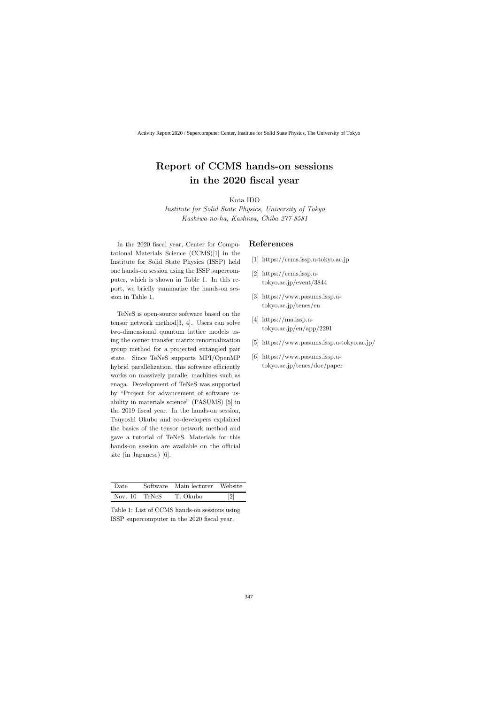## **Report of CCMS hands-on sessions in the 2020 fiscal year**

Kota IDO

*Institute for Solid State Physics, University of Tokyo Kashiwa-no-ha, Kashiwa, Chiba 277-8581*

In the 2020 fiscal year, Center for Computational Materials Science (CCMS)[1] in the Institute for Solid State Physics (ISSP) held one hands-on session using the ISSP supercomputer, which is shown in Table 1. In this report, we briefly summarize the hands-on session in Table 1.

TeNeS is open-source software based on the tensor network method[3, 4]. Users can solve two-dimensional quantum lattice models using the corner transfer matrix renormalization group method for a projected entangled pair state. Since TeNeS supports MPI/OpenMP hybrid parallelization, this software efficiently works on massively parallel machines such as enaga. Development of TeNeS was supported by "Project for advancement of software usability in materials science" (PASUMS) [5] in the 2019 fiscal year. In the hands-on session, Tsuyoshi Okubo and co-developers explained the basics of the tensor network method and gave a tutorial of TeNeS. Materials for this hands-on session are available on the official site (in Japanese) [6].

| Date          | Software Main lecturer Website |     |
|---------------|--------------------------------|-----|
| Nov. 10 TeNeS | T. Okubo                       | [2] |

Table 1: List of CCMS hands-on sessions using ISSP supercomputer in the 2020 fiscal year.

#### **References**

- [1] https://ccms.issp.u-tokyo.ac.jp
- [2] https://ccms.issp.utokyo.ac.jp/event/3844
- [3] https://www.pasums.issp.utokyo.ac.jp/tenes/en
- [4] https://ma.issp.utokyo.ac.jp/en/app/2291
- [5] https://www.pasums.issp.u-tokyo.ac.jp/
- [6] https://www.pasums.issp.utokyo.ac.jp/tenes/doc/paper